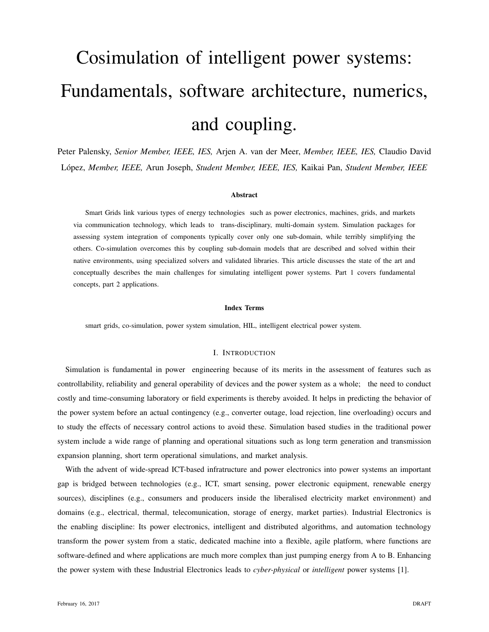# Cosimulation of intelligent power systems: Fundamentals, software architecture, numerics, and coupling.

Peter Palensky, *Senior Member, IEEE, IES,* Arjen A. van der Meer, *Member, IEEE, IES,* Claudio David Lopez, ´ *Member, IEEE,* Arun Joseph, *Student Member, IEEE, IES,* Kaikai Pan, *Student Member, IEEE*

#### Abstract

Smart Grids link various types of energy technologies such as power electronics, machines, grids, and markets via communication technology, which leads to trans-disciplinary, multi-domain system. Simulation packages for assessing system integration of components typically cover only one sub-domain, while terribly simplifying the others. Co-simulation overcomes this by coupling sub-domain models that are described and solved within their native environments, using specialized solvers and validated libraries. This article discusses the state of the art and conceptually describes the main challenges for simulating intelligent power systems. Part 1 covers fundamental concepts, part 2 applications.

# Index Terms

smart grids, co-simulation, power system simulation, HIL, intelligent electrical power system.

#### I. INTRODUCTION

Simulation is fundamental in power engineering because of its merits in the assessment of features such as controllability, reliability and general operability of devices and the power system as a whole; the need to conduct costly and time-consuming laboratory or field experiments is thereby avoided. It helps in predicting the behavior of the power system before an actual contingency (e.g., converter outage, load rejection, line overloading) occurs and to study the effects of necessary control actions to avoid these. Simulation based studies in the traditional power system include a wide range of planning and operational situations such as long term generation and transmission expansion planning, short term operational simulations, and market analysis.

With the advent of wide-spread ICT-based infratructure and power electronics into power systems an important gap is bridged between technologies (e.g., ICT, smart sensing, power electronic equipment, renewable energy sources), disciplines (e.g., consumers and producers inside the liberalised electricity market environment) and domains (e.g., electrical, thermal, telecomunication, storage of energy, market parties). Industrial Electronics is the enabling discipline: Its power electronics, intelligent and distributed algorithms, and automation technology transform the power system from a static, dedicated machine into a flexible, agile platform, where functions are software-defined and where applications are much more complex than just pumping energy from A to B. Enhancing the power system with these Industrial Electronics leads to *cyber-physical* or *intelligent* power systems [1].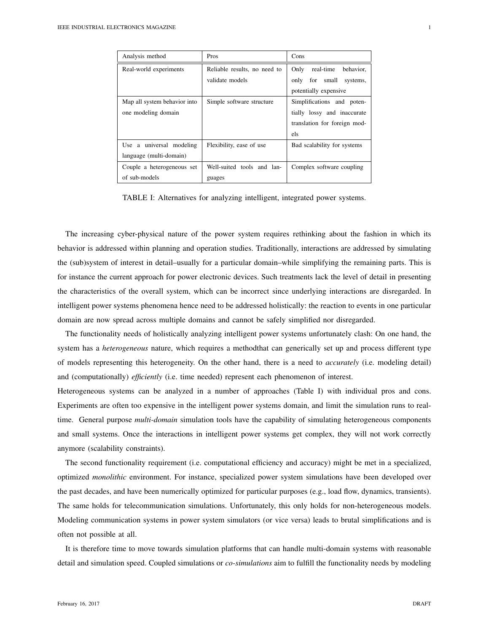| Analysis method              | Pros                         | Cons                           |  |
|------------------------------|------------------------------|--------------------------------|--|
| Real-world experiments       | Reliable results, no need to | real-time<br>Only<br>behavior, |  |
|                              | validate models              | only for small systems,        |  |
|                              |                              | potentially expensive          |  |
| Map all system behavior into | Simple software structure    | Simplifications and poten-     |  |
| one modeling domain          |                              | tially lossy and inaccurate    |  |
|                              |                              | translation for foreign mod-   |  |
|                              |                              | els                            |  |
| Use a universal modeling     | Flexibility, ease of use     | Bad scalability for systems    |  |
| language (multi-domain)      |                              |                                |  |
| Couple a heterogeneous set   | Well-suited tools and lan-   | Complex software coupling      |  |
| of sub-models                | guages                       |                                |  |

TABLE I: Alternatives for analyzing intelligent, integrated power systems.

The increasing cyber-physical nature of the power system requires rethinking about the fashion in which its behavior is addressed within planning and operation studies. Traditionally, interactions are addressed by simulating the (sub)system of interest in detail–usually for a particular domain–while simplifying the remaining parts. This is for instance the current approach for power electronic devices. Such treatments lack the level of detail in presenting the characteristics of the overall system, which can be incorrect since underlying interactions are disregarded. In intelligent power systems phenomena hence need to be addressed holistically: the reaction to events in one particular domain are now spread across multiple domains and cannot be safely simplified nor disregarded.

The functionality needs of holistically analyzing intelligent power systems unfortunately clash: On one hand, the system has a *heterogeneous* nature, which requires a methodthat can generically set up and process different type of models representing this heterogeneity. On the other hand, there is a need to *accurately* (i.e. modeling detail) and (computationally) *efficiently* (i.e. time needed) represent each phenomenon of interest.

Heterogeneous systems can be analyzed in a number of approaches (Table I) with individual pros and cons. Experiments are often too expensive in the intelligent power systems domain, and limit the simulation runs to realtime. General purpose *multi-domain* simulation tools have the capability of simulating heterogeneous components and small systems. Once the interactions in intelligent power systems get complex, they will not work correctly anymore (scalability constraints).

The second functionality requirement (i.e. computational efficiency and accuracy) might be met in a specialized, optimized *monolithic* environment. For instance, specialized power system simulations have been developed over the past decades, and have been numerically optimized for particular purposes (e.g., load flow, dynamics, transients). The same holds for telecommunication simulations. Unfortunately, this only holds for non-heterogeneous models. Modeling communication systems in power system simulators (or vice versa) leads to brutal simplifications and is often not possible at all.

It is therefore time to move towards simulation platforms that can handle multi-domain systems with reasonable detail and simulation speed. Coupled simulations or *co-simulations* aim to fulfill the functionality needs by modeling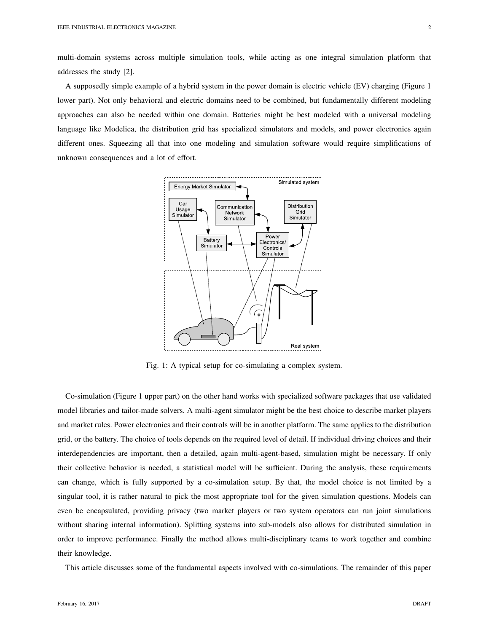multi-domain systems across multiple simulation tools, while acting as one integral simulation platform that addresses the study [2].

A supposedly simple example of a hybrid system in the power domain is electric vehicle (EV) charging (Figure 1 lower part). Not only behavioral and electric domains need to be combined, but fundamentally different modeling approaches can also be needed within one domain. Batteries might be best modeled with a universal modeling language like Modelica, the distribution grid has specialized simulators and models, and power electronics again different ones. Squeezing all that into one modeling and simulation software would require simplifications of unknown consequences and a lot of effort.



Fig. 1: A typical setup for co-simulating a complex system.

Co-simulation (Figure 1 upper part) on the other hand works with specialized software packages that use validated model libraries and tailor-made solvers. A multi-agent simulator might be the best choice to describe market players and market rules. Power electronics and their controls will be in another platform. The same applies to the distribution grid, or the battery. The choice of tools depends on the required level of detail. If individual driving choices and their interdependencies are important, then a detailed, again multi-agent-based, simulation might be necessary. If only their collective behavior is needed, a statistical model will be sufficient. During the analysis, these requirements can change, which is fully supported by a co-simulation setup. By that, the model choice is not limited by a singular tool, it is rather natural to pick the most appropriate tool for the given simulation questions. Models can even be encapsulated, providing privacy (two market players or two system operators can run joint simulations without sharing internal information). Splitting systems into sub-models also allows for distributed simulation in order to improve performance. Finally the method allows multi-disciplinary teams to work together and combine their knowledge.

This article discusses some of the fundamental aspects involved with co-simulations. The remainder of this paper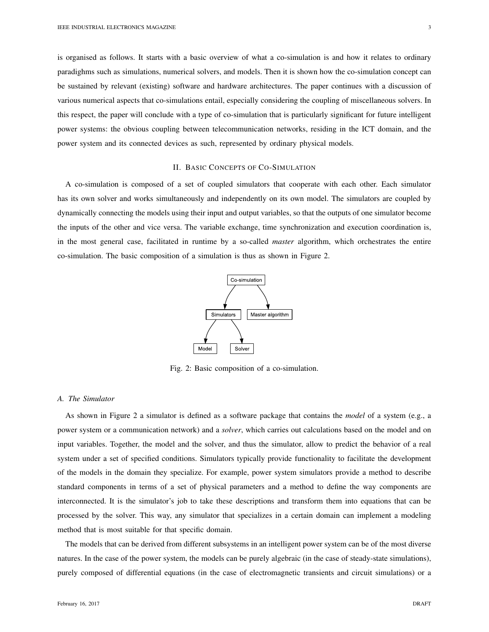is organised as follows. It starts with a basic overview of what a co-simulation is and how it relates to ordinary paradighms such as simulations, numerical solvers, and models. Then it is shown how the co-simulation concept can be sustained by relevant (existing) software and hardware architectures. The paper continues with a discussion of various numerical aspects that co-simulations entail, especially considering the coupling of miscellaneous solvers. In this respect, the paper will conclude with a type of co-simulation that is particularly significant for future intelligent power systems: the obvious coupling between telecommunication networks, residing in the ICT domain, and the power system and its connected devices as such, represented by ordinary physical models.

# II. BASIC CONCEPTS OF CO-SIMULATION

A co-simulation is composed of a set of coupled simulators that cooperate with each other. Each simulator has its own solver and works simultaneously and independently on its own model. The simulators are coupled by dynamically connecting the models using their input and output variables, so that the outputs of one simulator become the inputs of the other and vice versa. The variable exchange, time synchronization and execution coordination is, in the most general case, facilitated in runtime by a so-called *master* algorithm, which orchestrates the entire co-simulation. The basic composition of a simulation is thus as shown in Figure 2.



Fig. 2: Basic composition of a co-simulation.

#### *A. The Simulator*

As shown in Figure 2 a simulator is defined as a software package that contains the *model* of a system (e.g., a power system or a communication network) and a *solver*, which carries out calculations based on the model and on input variables. Together, the model and the solver, and thus the simulator, allow to predict the behavior of a real system under a set of specified conditions. Simulators typically provide functionality to facilitate the development of the models in the domain they specialize. For example, power system simulators provide a method to describe standard components in terms of a set of physical parameters and a method to define the way components are interconnected. It is the simulator's job to take these descriptions and transform them into equations that can be processed by the solver. This way, any simulator that specializes in a certain domain can implement a modeling method that is most suitable for that specific domain.

The models that can be derived from different subsystems in an intelligent power system can be of the most diverse natures. In the case of the power system, the models can be purely algebraic (in the case of steady-state simulations), purely composed of differential equations (in the case of electromagnetic transients and circuit simulations) or a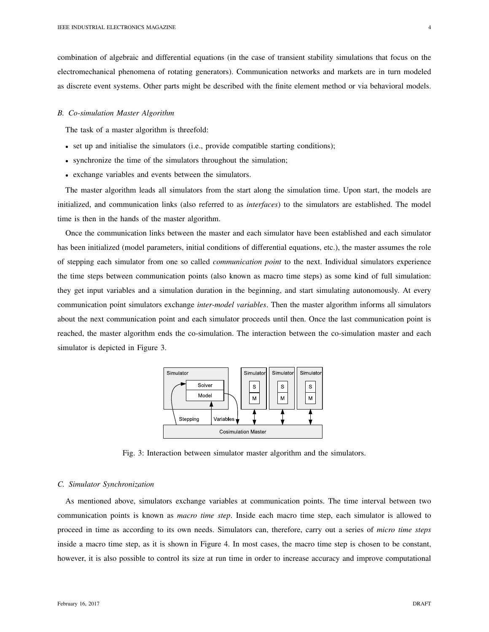combination of algebraic and differential equations (in the case of transient stability simulations that focus on the electromechanical phenomena of rotating generators). Communication networks and markets are in turn modeled as discrete event systems. Other parts might be described with the finite element method or via behavioral models.

#### *B. Co-simulation Master Algorithm*

The task of a master algorithm is threefold:

- set up and initialise the simulators (i.e., provide compatible starting conditions);
- synchronize the time of the simulators throughout the simulation;
- exchange variables and events between the simulators.

The master algorithm leads all simulators from the start along the simulation time. Upon start, the models are initialized, and communication links (also referred to as *interfaces*) to the simulators are established. The model time is then in the hands of the master algorithm.

Once the communication links between the master and each simulator have been established and each simulator has been initialized (model parameters, initial conditions of differential equations, etc.), the master assumes the role of stepping each simulator from one so called *communication point* to the next. Individual simulators experience the time steps between communication points (also known as macro time steps) as some kind of full simulation: they get input variables and a simulation duration in the beginning, and start simulating autonomously. At every communication point simulators exchange *inter-model variables*. Then the master algorithm informs all simulators about the next communication point and each simulator proceeds until then. Once the last communication point is reached, the master algorithm ends the co-simulation. The interaction between the co-simulation master and each simulator is depicted in Figure 3.



Fig. 3: Interaction between simulator master algorithm and the simulators.

#### *C. Simulator Synchronization*

As mentioned above, simulators exchange variables at communication points. The time interval between two communication points is known as *macro time step*. Inside each macro time step, each simulator is allowed to proceed in time as according to its own needs. Simulators can, therefore, carry out a series of *micro time steps* inside a macro time step, as it is shown in Figure 4. In most cases, the macro time step is chosen to be constant, however, it is also possible to control its size at run time in order to increase accuracy and improve computational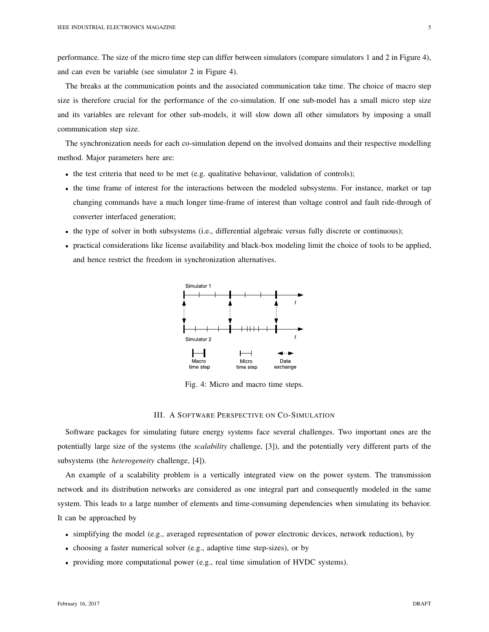performance. The size of the micro time step can differ between simulators (compare simulators 1 and 2 in Figure 4), and can even be variable (see simulator 2 in Figure 4).

The breaks at the communication points and the associated communication take time. The choice of macro step size is therefore crucial for the performance of the co-simulation. If one sub-model has a small micro step size and its variables are relevant for other sub-models, it will slow down all other simulators by imposing a small communication step size.

The synchronization needs for each co-simulation depend on the involved domains and their respective modelling method. Major parameters here are:

- the test criteria that need to be met (e.g. qualitative behaviour, validation of controls);
- the time frame of interest for the interactions between the modeled subsystems. For instance, market or tap changing commands have a much longer time-frame of interest than voltage control and fault ride-through of converter interfaced generation;
- the type of solver in both subsystems (i.e., differential algebraic versus fully discrete or continuous);
- practical considerations like license availability and black-box modeling limit the choice of tools to be applied, and hence restrict the freedom in synchronization alternatives.



Fig. 4: Micro and macro time steps.

# III. A SOFTWARE PERSPECTIVE ON CO-SIMULATION

Software packages for simulating future energy systems face several challenges. Two important ones are the potentially large size of the systems (the *scalability* challenge, [3]), and the potentially very different parts of the subsystems (the *heterogeneity* challenge, [4]).

An example of a scalability problem is a vertically integrated view on the power system. The transmission network and its distribution networks are considered as one integral part and consequently modeled in the same system. This leads to a large number of elements and time-consuming dependencies when simulating its behavior. It can be approached by

- simplifying the model (e.g., averaged representation of power electronic devices, network reduction), by
- choosing a faster numerical solver (e.g., adaptive time step-sizes), or by
- providing more computational power (e.g., real time simulation of HVDC systems).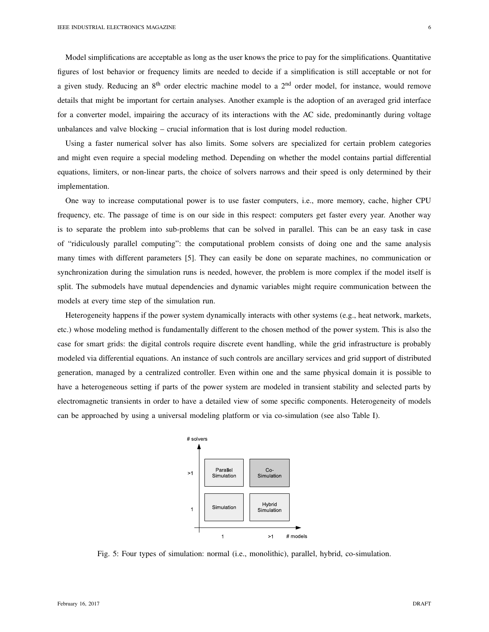Model simplifications are acceptable as long as the user knows the price to pay for the simplifications. Quantitative figures of lost behavior or frequency limits are needed to decide if a simplification is still acceptable or not for a given study. Reducing an  $8<sup>th</sup>$  order electric machine model to a  $2<sup>nd</sup>$  order model, for instance, would remove details that might be important for certain analyses. Another example is the adoption of an averaged grid interface for a converter model, impairing the accuracy of its interactions with the AC side, predominantly during voltage unbalances and valve blocking – crucial information that is lost during model reduction.

Using a faster numerical solver has also limits. Some solvers are specialized for certain problem categories and might even require a special modeling method. Depending on whether the model contains partial differential equations, limiters, or non-linear parts, the choice of solvers narrows and their speed is only determined by their implementation.

One way to increase computational power is to use faster computers, i.e., more memory, cache, higher CPU frequency, etc. The passage of time is on our side in this respect: computers get faster every year. Another way is to separate the problem into sub-problems that can be solved in parallel. This can be an easy task in case of "ridiculously parallel computing": the computational problem consists of doing one and the same analysis many times with different parameters [5]. They can easily be done on separate machines, no communication or synchronization during the simulation runs is needed, however, the problem is more complex if the model itself is split. The submodels have mutual dependencies and dynamic variables might require communication between the models at every time step of the simulation run.

Heterogeneity happens if the power system dynamically interacts with other systems (e.g., heat network, markets, etc.) whose modeling method is fundamentally different to the chosen method of the power system. This is also the case for smart grids: the digital controls require discrete event handling, while the grid infrastructure is probably modeled via differential equations. An instance of such controls are ancillary services and grid support of distributed generation, managed by a centralized controller. Even within one and the same physical domain it is possible to have a heterogeneous setting if parts of the power system are modeled in transient stability and selected parts by electromagnetic transients in order to have a detailed view of some specific components. Heterogeneity of models can be approached by using a universal modeling platform or via co-simulation (see also Table I).



Fig. 5: Four types of simulation: normal (i.e., monolithic), parallel, hybrid, co-simulation.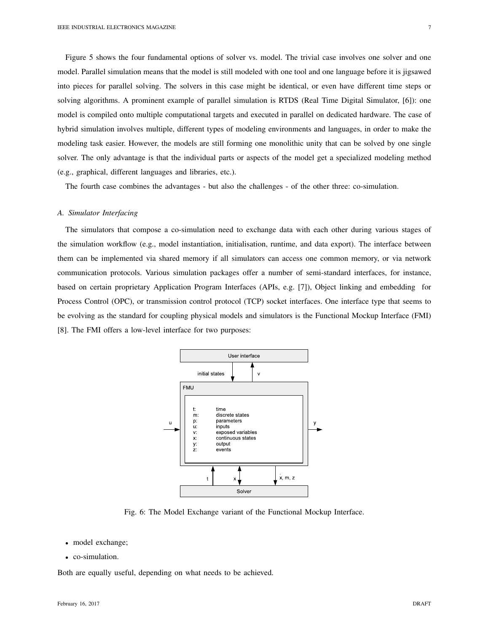Figure 5 shows the four fundamental options of solver vs. model. The trivial case involves one solver and one model. Parallel simulation means that the model is still modeled with one tool and one language before it is jigsawed into pieces for parallel solving. The solvers in this case might be identical, or even have different time steps or solving algorithms. A prominent example of parallel simulation is RTDS (Real Time Digital Simulator, [6]): one model is compiled onto multiple computational targets and executed in parallel on dedicated hardware. The case of hybrid simulation involves multiple, different types of modeling environments and languages, in order to make the modeling task easier. However, the models are still forming one monolithic unity that can be solved by one single solver. The only advantage is that the individual parts or aspects of the model get a specialized modeling method (e.g., graphical, different languages and libraries, etc.).

The fourth case combines the advantages - but also the challenges - of the other three: co-simulation.

# *A. Simulator Interfacing*

The simulators that compose a co-simulation need to exchange data with each other during various stages of the simulation workflow (e.g., model instantiation, initialisation, runtime, and data export). The interface between them can be implemented via shared memory if all simulators can access one common memory, or via network communication protocols. Various simulation packages offer a number of semi-standard interfaces, for instance, based on certain proprietary Application Program Interfaces (APIs, e.g. [7]), Object linking and embedding for Process Control (OPC), or transmission control protocol (TCP) socket interfaces. One interface type that seems to be evolving as the standard for coupling physical models and simulators is the Functional Mockup Interface (FMI) [8]. The FMI offers a low-level interface for two purposes:



Fig. 6: The Model Exchange variant of the Functional Mockup Interface.

- model exchange;
- co-simulation.

Both are equally useful, depending on what needs to be achieved.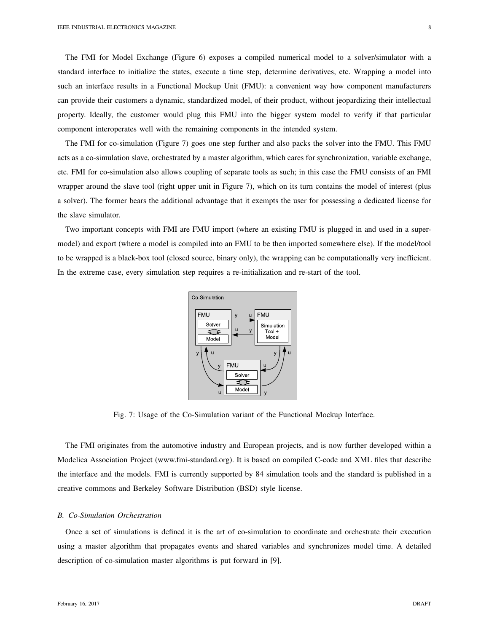The FMI for Model Exchange (Figure 6) exposes a compiled numerical model to a solver/simulator with a standard interface to initialize the states, execute a time step, determine derivatives, etc. Wrapping a model into such an interface results in a Functional Mockup Unit (FMU): a convenient way how component manufacturers can provide their customers a dynamic, standardized model, of their product, without jeopardizing their intellectual property. Ideally, the customer would plug this FMU into the bigger system model to verify if that particular component interoperates well with the remaining components in the intended system.

The FMI for co-simulation (Figure 7) goes one step further and also packs the solver into the FMU. This FMU acts as a co-simulation slave, orchestrated by a master algorithm, which cares for synchronization, variable exchange, etc. FMI for co-simulation also allows coupling of separate tools as such; in this case the FMU consists of an FMI wrapper around the slave tool (right upper unit in Figure 7), which on its turn contains the model of interest (plus a solver). The former bears the additional advantage that it exempts the user for possessing a dedicated license for the slave simulator.

Two important concepts with FMI are FMU import (where an existing FMU is plugged in and used in a supermodel) and export (where a model is compiled into an FMU to be then imported somewhere else). If the model/tool to be wrapped is a black-box tool (closed source, binary only), the wrapping can be computationally very inefficient. In the extreme case, every simulation step requires a re-initialization and re-start of the tool.



Fig. 7: Usage of the Co-Simulation variant of the Functional Mockup Interface.

The FMI originates from the automotive industry and European projects, and is now further developed within a Modelica Association Project (www.fmi-standard.org). It is based on compiled C-code and XML files that describe the interface and the models. FMI is currently supported by 84 simulation tools and the standard is published in a creative commons and Berkeley Software Distribution (BSD) style license.

#### *B. Co-Simulation Orchestration*

Once a set of simulations is defined it is the art of co-simulation to coordinate and orchestrate their execution using a master algorithm that propagates events and shared variables and synchronizes model time. A detailed description of co-simulation master algorithms is put forward in [9].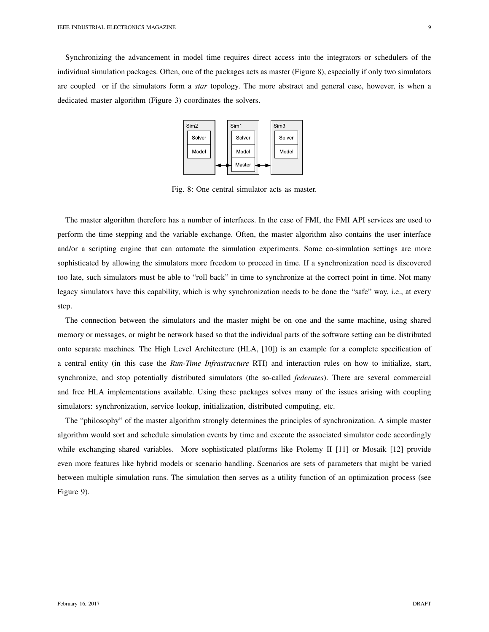Synchronizing the advancement in model time requires direct access into the integrators or schedulers of the individual simulation packages. Often, one of the packages acts as master (Figure 8), especially if only two simulators are coupled or if the simulators form a *star* topology. The more abstract and general case, however, is when a dedicated master algorithm (Figure 3) coordinates the solvers.



Fig. 8: One central simulator acts as master.

The master algorithm therefore has a number of interfaces. In the case of FMI, the FMI API services are used to perform the time stepping and the variable exchange. Often, the master algorithm also contains the user interface and/or a scripting engine that can automate the simulation experiments. Some co-simulation settings are more sophisticated by allowing the simulators more freedom to proceed in time. If a synchronization need is discovered too late, such simulators must be able to "roll back" in time to synchronize at the correct point in time. Not many legacy simulators have this capability, which is why synchronization needs to be done the "safe" way, i.e., at every step.

The connection between the simulators and the master might be on one and the same machine, using shared memory or messages, or might be network based so that the individual parts of the software setting can be distributed onto separate machines. The High Level Architecture (HLA, [10]) is an example for a complete specification of a central entity (in this case the *Run-Time Infrastructure* RTI) and interaction rules on how to initialize, start, synchronize, and stop potentially distributed simulators (the so-called *federates*). There are several commercial and free HLA implementations available. Using these packages solves many of the issues arising with coupling simulators: synchronization, service lookup, initialization, distributed computing, etc.

The "philosophy" of the master algorithm strongly determines the principles of synchronization. A simple master algorithm would sort and schedule simulation events by time and execute the associated simulator code accordingly while exchanging shared variables. More sophisticated platforms like Ptolemy II [11] or Mosaik [12] provide even more features like hybrid models or scenario handling. Scenarios are sets of parameters that might be varied between multiple simulation runs. The simulation then serves as a utility function of an optimization process (see Figure 9).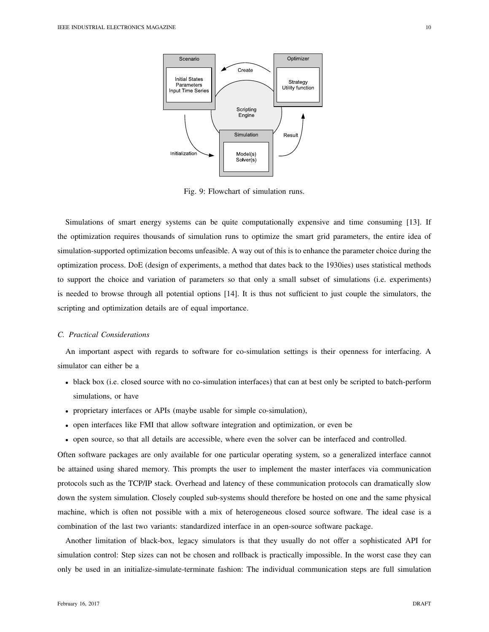

Fig. 9: Flowchart of simulation runs.

Simulations of smart energy systems can be quite computationally expensive and time consuming [13]. If the optimization requires thousands of simulation runs to optimize the smart grid parameters, the entire idea of simulation-supported optimization becoms unfeasible. A way out of this is to enhance the parameter choice during the optimization process. DoE (design of experiments, a method that dates back to the 1930ies) uses statistical methods to support the choice and variation of parameters so that only a small subset of simulations (i.e. experiments) is needed to browse through all potential options [14]. It is thus not sufficient to just couple the simulators, the scripting and optimization details are of equal importance.

#### *C. Practical Considerations*

An important aspect with regards to software for co-simulation settings is their openness for interfacing. A simulator can either be a

- black box (i.e. closed source with no co-simulation interfaces) that can at best only be scripted to batch-perform simulations, or have
- proprietary interfaces or APIs (maybe usable for simple co-simulation),
- open interfaces like FMI that allow software integration and optimization, or even be
- open source, so that all details are accessible, where even the solver can be interfaced and controlled.

Often software packages are only available for one particular operating system, so a generalized interface cannot be attained using shared memory. This prompts the user to implement the master interfaces via communication protocols such as the TCP/IP stack. Overhead and latency of these communication protocols can dramatically slow down the system simulation. Closely coupled sub-systems should therefore be hosted on one and the same physical machine, which is often not possible with a mix of heterogeneous closed source software. The ideal case is a combination of the last two variants: standardized interface in an open-source software package.

Another limitation of black-box, legacy simulators is that they usually do not offer a sophisticated API for simulation control: Step sizes can not be chosen and rollback is practically impossible. In the worst case they can only be used in an initialize-simulate-terminate fashion: The individual communication steps are full simulation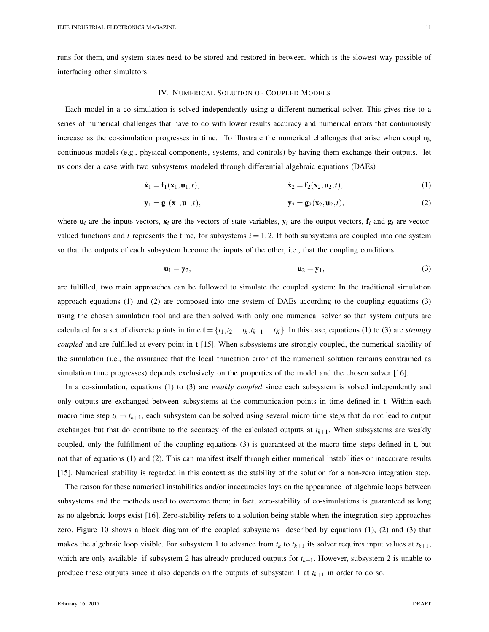runs for them, and system states need to be stored and restored in between, which is the slowest way possible of interfacing other simulators.

#### IV. NUMERICAL SOLUTION OF COUPLED MODELS

Each model in a co-simulation is solved independently using a different numerical solver. This gives rise to a series of numerical challenges that have to do with lower results accuracy and numerical errors that continuously increase as the co-simulation progresses in time. To illustrate the numerical challenges that arise when coupling continuous models (e.g., physical components, systems, and controls) by having them exchange their outputs, let us consider a case with two subsystems modeled through differential algebraic equations (DAEs)

$$
\dot{\mathbf{x}}_1 = \mathbf{f}_1(\mathbf{x}_1, \mathbf{u}_1, t), \qquad \dot{\mathbf{x}}_2 = \mathbf{f}_2(\mathbf{x}_2, \mathbf{u}_2, t), \qquad (1)
$$

$$
\mathbf{y}_1 = \mathbf{g}_1(\mathbf{x}_1, \mathbf{u}_1, t), \qquad \qquad \mathbf{y}_2 = \mathbf{g}_2(\mathbf{x}_2, \mathbf{u}_2, t), \qquad (2)
$$

where  $\mathbf{u}_i$  are the inputs vectors,  $\mathbf{x}_i$  are the vectors of state variables,  $\mathbf{v}_i$  are the output vectors,  $\mathbf{f}_i$  and  $\mathbf{g}_i$  are vectorvalued functions and *t* represents the time, for subsystems  $i = 1, 2$ . If both subsystems are coupled into one system so that the outputs of each subsystem become the inputs of the other, i.e., that the coupling conditions

$$
\mathbf{u}_1 = \mathbf{y}_2, \qquad \qquad \mathbf{u}_2 = \mathbf{y}_1,\tag{3}
$$

are fulfilled, two main approaches can be followed to simulate the coupled system: In the traditional simulation approach equations (1) and (2) are composed into one system of DAEs according to the coupling equations (3) using the chosen simulation tool and are then solved with only one numerical solver so that system outputs are calculated for a set of discrete points in time  $\mathbf{t} = \{t_1, t_2, \ldots, t_k, t_{k+1}, \ldots, t_K\}$ . In this case, equations (1) to (3) are *strongly coupled* and are fulfilled at every point in t [15]. When subsystems are strongly coupled, the numerical stability of the simulation (i.e., the assurance that the local truncation error of the numerical solution remains constrained as simulation time progresses) depends exclusively on the properties of the model and the chosen solver [16].

In a co-simulation, equations (1) to (3) are *weakly coupled* since each subsystem is solved independently and only outputs are exchanged between subsystems at the communication points in time defined in t. Within each macro time step  $t_k \to t_{k+1}$ , each subsystem can be solved using several micro time steps that do not lead to output exchanges but that do contribute to the accuracy of the calculated outputs at  $t_{k+1}$ . When subsystems are weakly coupled, only the fulfillment of the coupling equations (3) is guaranteed at the macro time steps defined in t, but not that of equations (1) and (2). This can manifest itself through either numerical instabilities or inaccurate results [15]. Numerical stability is regarded in this context as the stability of the solution for a non-zero integration step.

The reason for these numerical instabilities and/or inaccuracies lays on the appearance of algebraic loops between subsystems and the methods used to overcome them; in fact, zero-stability of co-simulations is guaranteed as long as no algebraic loops exist [16]. Zero-stability refers to a solution being stable when the integration step approaches zero. Figure 10 shows a block diagram of the coupled subsystems described by equations (1), (2) and (3) that makes the algebraic loop visible. For subsystem 1 to advance from  $t_k$  to  $t_{k+1}$  its solver requires input values at  $t_{k+1}$ , which are only available if subsystem 2 has already produced outputs for  $t_{k+1}$ . However, subsystem 2 is unable to produce these outputs since it also depends on the outputs of subsystem 1 at  $t_{k+1}$  in order to do so.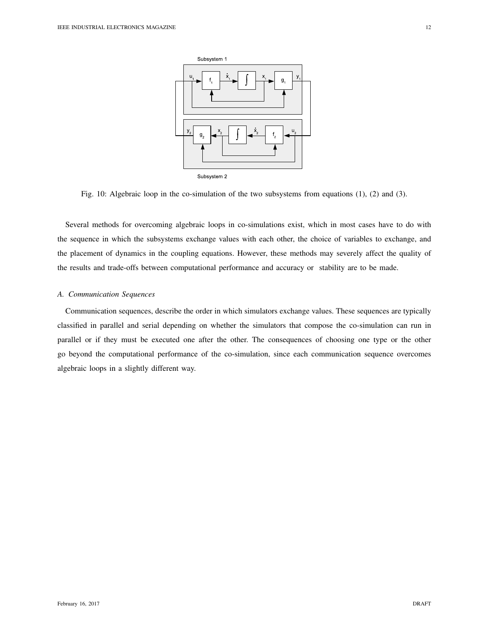

Fig. 10: Algebraic loop in the co-simulation of the two subsystems from equations (1), (2) and (3).

Several methods for overcoming algebraic loops in co-simulations exist, which in most cases have to do with the sequence in which the subsystems exchange values with each other, the choice of variables to exchange, and the placement of dynamics in the coupling equations. However, these methods may severely affect the quality of the results and trade-offs between computational performance and accuracy or stability are to be made.

# *A. Communication Sequences*

Communication sequences, describe the order in which simulators exchange values. These sequences are typically classified in parallel and serial depending on whether the simulators that compose the co-simulation can run in parallel or if they must be executed one after the other. The consequences of choosing one type or the other go beyond the computational performance of the co-simulation, since each communication sequence overcomes algebraic loops in a slightly different way.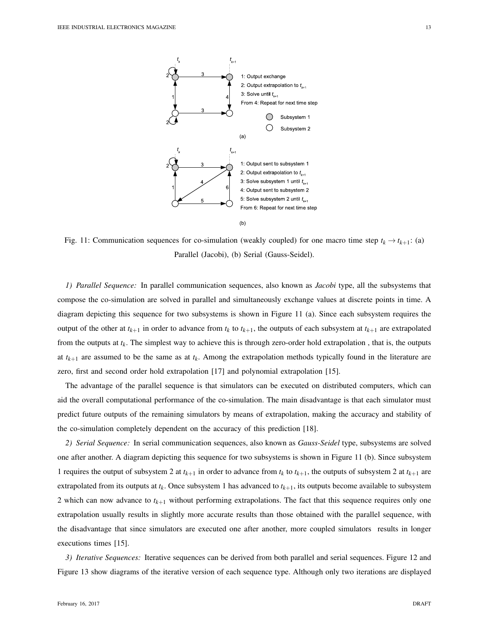

Fig. 11: Communication sequences for co-simulation (weakly coupled) for one macro time step  $t_k \rightarrow t_{k+1}$ : (a) Parallel (Jacobi), (b) Serial (Gauss-Seidel).

*1) Parallel Sequence:* In parallel communication sequences, also known as *Jacobi* type, all the subsystems that compose the co-simulation are solved in parallel and simultaneously exchange values at discrete points in time. A diagram depicting this sequence for two subsystems is shown in Figure 11 (a). Since each subsystem requires the output of the other at  $t_{k+1}$  in order to advance from  $t_k$  to  $t_{k+1}$ , the outputs of each subsystem at  $t_{k+1}$  are extrapolated from the outputs at  $t_k$ . The simplest way to achieve this is through zero-order hold extrapolation, that is, the outputs at  $t_{k+1}$  are assumed to be the same as at  $t_k$ . Among the extrapolation methods typically found in the literature are zero, first and second order hold extrapolation [17] and polynomial extrapolation [15].

The advantage of the parallel sequence is that simulators can be executed on distributed computers, which can aid the overall computational performance of the co-simulation. The main disadvantage is that each simulator must predict future outputs of the remaining simulators by means of extrapolation, making the accuracy and stability of the co-simulation completely dependent on the accuracy of this prediction [18].

*2) Serial Sequence:* In serial communication sequences, also known as *Gauss-Seidel* type, subsystems are solved one after another. A diagram depicting this sequence for two subsystems is shown in Figure 11 (b). Since subsystem 1 requires the output of subsystem 2 at  $t_{k+1}$  in order to advance from  $t_k$  to  $t_{k+1}$ , the outputs of subsystem 2 at  $t_{k+1}$  are extrapolated from its outputs at *t<sup>k</sup>* . Once subsystem 1 has advanced to *tk*+1, its outputs become available to subsystem 2 which can now advance to  $t_{k+1}$  without performing extrapolations. The fact that this sequence requires only one extrapolation usually results in slightly more accurate results than those obtained with the parallel sequence, with the disadvantage that since simulators are executed one after another, more coupled simulators results in longer executions times [15].

*3) Iterative Sequences:* Iterative sequences can be derived from both parallel and serial sequences. Figure 12 and Figure 13 show diagrams of the iterative version of each sequence type. Although only two iterations are displayed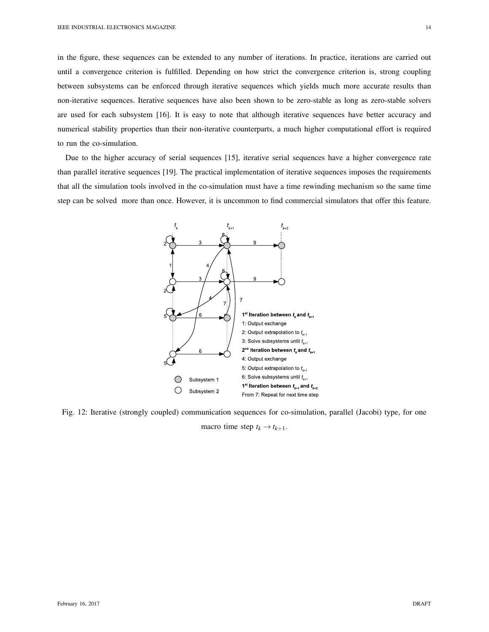in the figure, these sequences can be extended to any number of iterations. In practice, iterations are carried out until a convergence criterion is fulfilled. Depending on how strict the convergence criterion is, strong coupling between subsystems can be enforced through iterative sequences which yields much more accurate results than non-iterative sequences. Iterative sequences have also been shown to be zero-stable as long as zero-stable solvers are used for each subsystem [16]. It is easy to note that although iterative sequences have better accuracy and numerical stability properties than their non-iterative counterparts, a much higher computational effort is required to run the co-simulation.

Due to the higher accuracy of serial sequences [15], iterative serial sequences have a higher convergence rate than parallel iterative sequences [19]. The practical implementation of iterative sequences imposes the requirements that all the simulation tools involved in the co-simulation must have a time rewinding mechanism so the same time step can be solved more than once. However, it is uncommon to find commercial simulators that offer this feature.



Fig. 12: Iterative (strongly coupled) communication sequences for co-simulation, parallel (Jacobi) type, for one macro time step  $t_k \rightarrow t_{k+1}$ .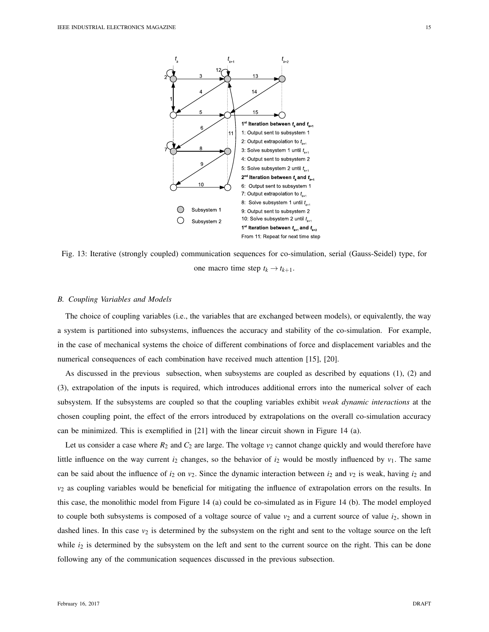

Fig. 13: Iterative (strongly coupled) communication sequences for co-simulation, serial (Gauss-Seidel) type, for one macro time step  $t_k \rightarrow t_{k+1}$ .

# *B. Coupling Variables and Models*

The choice of coupling variables (i.e., the variables that are exchanged between models), or equivalently, the way a system is partitioned into subsystems, influences the accuracy and stability of the co-simulation. For example, in the case of mechanical systems the choice of different combinations of force and displacement variables and the numerical consequences of each combination have received much attention [15], [20].

As discussed in the previous subsection, when subsystems are coupled as described by equations (1), (2) and (3), extrapolation of the inputs is required, which introduces additional errors into the numerical solver of each subsystem. If the subsystems are coupled so that the coupling variables exhibit *weak dynamic interactions* at the chosen coupling point, the effect of the errors introduced by extrapolations on the overall co-simulation accuracy can be minimized. This is exemplified in [21] with the linear circuit shown in Figure 14 (a).

Let us consider a case where  $R_2$  and  $C_2$  are large. The voltage  $v_2$  cannot change quickly and would therefore have little influence on the way current  $i_2$  changes, so the behavior of  $i_2$  would be mostly influenced by  $v_1$ . The same can be said about the influence of  $i_2$  on  $v_2$ . Since the dynamic interaction between  $i_2$  and  $v_2$  is weak, having  $i_2$  and *v*<sup>2</sup> as coupling variables would be beneficial for mitigating the influence of extrapolation errors on the results. In this case, the monolithic model from Figure 14 (a) could be co-simulated as in Figure 14 (b). The model employed to couple both subsystems is composed of a voltage source of value  $v_2$  and a current source of value  $i_2$ , shown in dashed lines. In this case  $v_2$  is determined by the subsystem on the right and sent to the voltage source on the left while  $i_2$  is determined by the subsystem on the left and sent to the current source on the right. This can be done following any of the communication sequences discussed in the previous subsection.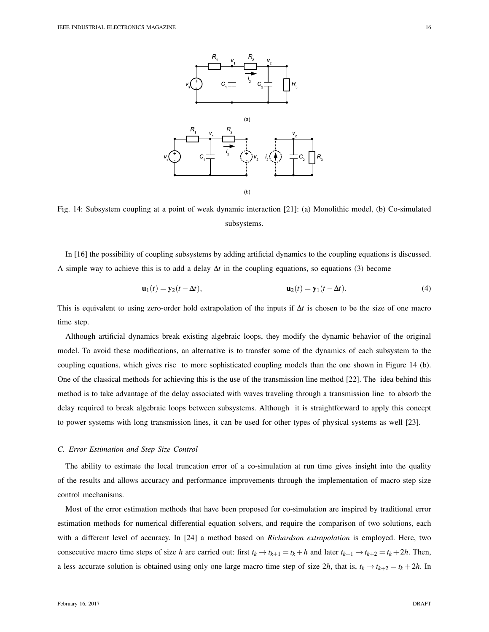

Fig. 14: Subsystem coupling at a point of weak dynamic interaction [21]: (a) Monolithic model, (b) Co-simulated subsystems.

In [16] the possibility of coupling subsystems by adding artificial dynamics to the coupling equations is discussed. A simple way to achieve this is to add a delay ∆*t* in the coupling equations, so equations (3) become

$$
\mathbf{u}_1(t) = \mathbf{y}_2(t - \Delta t), \qquad \mathbf{u}_2(t) = \mathbf{y}_1(t - \Delta t). \tag{4}
$$

This is equivalent to using zero-order hold extrapolation of the inputs if ∆*t* is chosen to be the size of one macro time step.

Although artificial dynamics break existing algebraic loops, they modify the dynamic behavior of the original model. To avoid these modifications, an alternative is to transfer some of the dynamics of each subsystem to the coupling equations, which gives rise to more sophisticated coupling models than the one shown in Figure 14 (b). One of the classical methods for achieving this is the use of the transmission line method [22]. The idea behind this method is to take advantage of the delay associated with waves traveling through a transmission line to absorb the delay required to break algebraic loops between subsystems. Although it is straightforward to apply this concept to power systems with long transmission lines, it can be used for other types of physical systems as well [23].

## *C. Error Estimation and Step Size Control*

The ability to estimate the local truncation error of a co-simulation at run time gives insight into the quality of the results and allows accuracy and performance improvements through the implementation of macro step size control mechanisms.

Most of the error estimation methods that have been proposed for co-simulation are inspired by traditional error estimation methods for numerical differential equation solvers, and require the comparison of two solutions, each with a different level of accuracy. In [24] a method based on *Richardson extrapolation* is employed. Here, two consecutive macro time steps of size *h* are carried out: first  $t_k \to t_{k+1} = t_k + h$  and later  $t_{k+1} \to t_{k+2} = t_k + 2h$ . Then, a less accurate solution is obtained using only one large macro time step of size 2*h*, that is,  $t_k \rightarrow t_{k+2} = t_k + 2h$ . In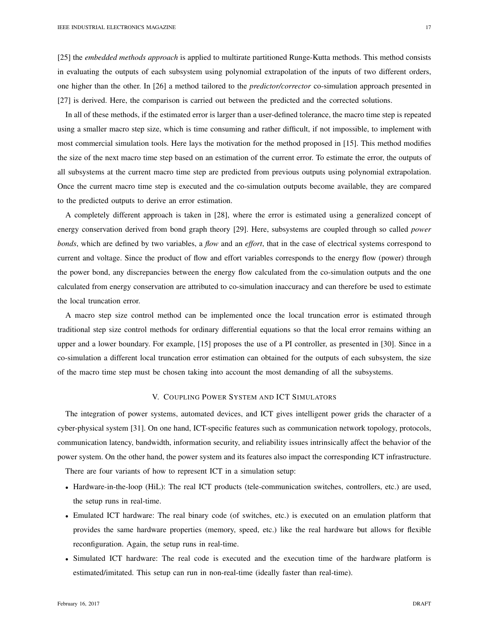[25] the *embedded methods approach* is applied to multirate partitioned Runge-Kutta methods. This method consists in evaluating the outputs of each subsystem using polynomial extrapolation of the inputs of two different orders, one higher than the other. In [26] a method tailored to the *predictor/corrector* co-simulation approach presented in [27] is derived. Here, the comparison is carried out between the predicted and the corrected solutions.

In all of these methods, if the estimated error is larger than a user-defined tolerance, the macro time step is repeated using a smaller macro step size, which is time consuming and rather difficult, if not impossible, to implement with most commercial simulation tools. Here lays the motivation for the method proposed in [15]. This method modifies the size of the next macro time step based on an estimation of the current error. To estimate the error, the outputs of all subsystems at the current macro time step are predicted from previous outputs using polynomial extrapolation. Once the current macro time step is executed and the co-simulation outputs become available, they are compared to the predicted outputs to derive an error estimation.

A completely different approach is taken in [28], where the error is estimated using a generalized concept of energy conservation derived from bond graph theory [29]. Here, subsystems are coupled through so called *power bonds*, which are defined by two variables, a *flow* and an *effort*, that in the case of electrical systems correspond to current and voltage. Since the product of flow and effort variables corresponds to the energy flow (power) through the power bond, any discrepancies between the energy flow calculated from the co-simulation outputs and the one calculated from energy conservation are attributed to co-simulation inaccuracy and can therefore be used to estimate the local truncation error.

A macro step size control method can be implemented once the local truncation error is estimated through traditional step size control methods for ordinary differential equations so that the local error remains withing an upper and a lower boundary. For example, [15] proposes the use of a PI controller, as presented in [30]. Since in a co-simulation a different local truncation error estimation can obtained for the outputs of each subsystem, the size of the macro time step must be chosen taking into account the most demanding of all the subsystems.

# V. COUPLING POWER SYSTEM AND ICT SIMULATORS

The integration of power systems, automated devices, and ICT gives intelligent power grids the character of a cyber-physical system [31]. On one hand, ICT-specific features such as communication network topology, protocols, communication latency, bandwidth, information security, and reliability issues intrinsically affect the behavior of the power system. On the other hand, the power system and its features also impact the corresponding ICT infrastructure.

There are four variants of how to represent ICT in a simulation setup:

- Hardware-in-the-loop (HiL): The real ICT products (tele-communication switches, controllers, etc.) are used, the setup runs in real-time.
- Emulated ICT hardware: The real binary code (of switches, etc.) is executed on an emulation platform that provides the same hardware properties (memory, speed, etc.) like the real hardware but allows for flexible reconfiguration. Again, the setup runs in real-time.
- Simulated ICT hardware: The real code is executed and the execution time of the hardware platform is estimated/imitated. This setup can run in non-real-time (ideally faster than real-time).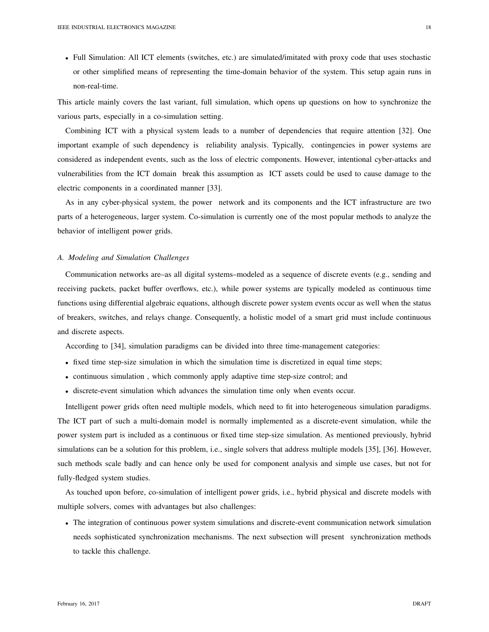• Full Simulation: All ICT elements (switches, etc.) are simulated/imitated with proxy code that uses stochastic or other simplified means of representing the time-domain behavior of the system. This setup again runs in non-real-time.

This article mainly covers the last variant, full simulation, which opens up questions on how to synchronize the various parts, especially in a co-simulation setting.

Combining ICT with a physical system leads to a number of dependencies that require attention [32]. One important example of such dependency is reliability analysis. Typically, contingencies in power systems are considered as independent events, such as the loss of electric components. However, intentional cyber-attacks and vulnerabilities from the ICT domain break this assumption as ICT assets could be used to cause damage to the electric components in a coordinated manner [33].

As in any cyber-physical system, the power network and its components and the ICT infrastructure are two parts of a heterogeneous, larger system. Co-simulation is currently one of the most popular methods to analyze the behavior of intelligent power grids.

#### *A. Modeling and Simulation Challenges*

Communication networks are–as all digital systems–modeled as a sequence of discrete events (e.g., sending and receiving packets, packet buffer overflows, etc.), while power systems are typically modeled as continuous time functions using differential algebraic equations, although discrete power system events occur as well when the status of breakers, switches, and relays change. Consequently, a holistic model of a smart grid must include continuous and discrete aspects.

According to [34], simulation paradigms can be divided into three time-management categories:

- fixed time step-size simulation in which the simulation time is discretized in equal time steps;
- continuous simulation , which commonly apply adaptive time step-size control; and
- discrete-event simulation which advances the simulation time only when events occur.

Intelligent power grids often need multiple models, which need to fit into heterogeneous simulation paradigms. The ICT part of such a multi-domain model is normally implemented as a discrete-event simulation, while the power system part is included as a continuous or fixed time step-size simulation. As mentioned previously, hybrid simulations can be a solution for this problem, i.e., single solvers that address multiple models [35], [36]. However, such methods scale badly and can hence only be used for component analysis and simple use cases, but not for fully-fledged system studies.

As touched upon before, co-simulation of intelligent power grids, i.e., hybrid physical and discrete models with multiple solvers, comes with advantages but also challenges:

• The integration of continuous power system simulations and discrete-event communication network simulation needs sophisticated synchronization mechanisms. The next subsection will present synchronization methods to tackle this challenge.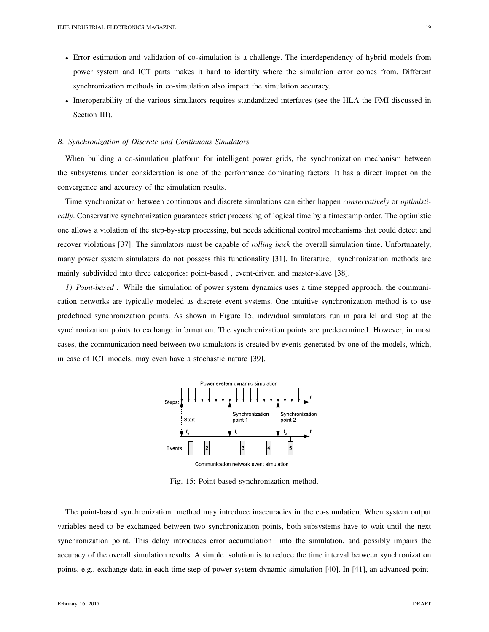- Error estimation and validation of co-simulation is a challenge. The interdependency of hybrid models from power system and ICT parts makes it hard to identify where the simulation error comes from. Different synchronization methods in co-simulation also impact the simulation accuracy.
- Interoperability of the various simulators requires standardized interfaces (see the HLA the FMI discussed in Section III).

#### *B. Synchronization of Discrete and Continuous Simulators*

When building a co-simulation platform for intelligent power grids, the synchronization mechanism between the subsystems under consideration is one of the performance dominating factors. It has a direct impact on the convergence and accuracy of the simulation results.

Time synchronization between continuous and discrete simulations can either happen *conservatively* or *optimistically*. Conservative synchronization guarantees strict processing of logical time by a timestamp order. The optimistic one allows a violation of the step-by-step processing, but needs additional control mechanisms that could detect and recover violations [37]. The simulators must be capable of *rolling back* the overall simulation time. Unfortunately, many power system simulators do not possess this functionality [31]. In literature, synchronization methods are mainly subdivided into three categories: point-based , event-driven and master-slave [38].

*1) Point-based :* While the simulation of power system dynamics uses a time stepped approach, the communication networks are typically modeled as discrete event systems. One intuitive synchronization method is to use predefined synchronization points. As shown in Figure 15, individual simulators run in parallel and stop at the synchronization points to exchange information. The synchronization points are predetermined. However, in most cases, the communication need between two simulators is created by events generated by one of the models, which, in case of ICT models, may even have a stochastic nature [39].



Communication network event simulation

Fig. 15: Point-based synchronization method.

The point-based synchronization method may introduce inaccuracies in the co-simulation. When system output variables need to be exchanged between two synchronization points, both subsystems have to wait until the next synchronization point. This delay introduces error accumulation into the simulation, and possibly impairs the accuracy of the overall simulation results. A simple solution is to reduce the time interval between synchronization points, e.g., exchange data in each time step of power system dynamic simulation [40]. In [41], an advanced point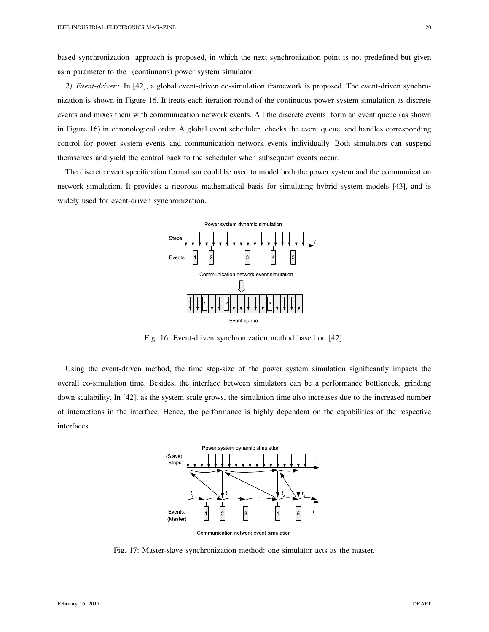based synchronization approach is proposed, in which the next synchronization point is not predefined but given as a parameter to the (continuous) power system simulator.

*2) Event-driven:* In [42], a global event-driven co-simulation framework is proposed. The event-driven synchronization is shown in Figure 16. It treats each iteration round of the continuous power system simulation as discrete events and mixes them with communication network events. All the discrete events form an event queue (as shown in Figure 16) in chronological order. A global event scheduler checks the event queue, and handles corresponding control for power system events and communication network events individually. Both simulators can suspend themselves and yield the control back to the scheduler when subsequent events occur.

The discrete event specification formalism could be used to model both the power system and the communication network simulation. It provides a rigorous mathematical basis for simulating hybrid system models [43], and is widely used for event-driven synchronization.



Fig. 16: Event-driven synchronization method based on [42].

Using the event-driven method, the time step-size of the power system simulation significantly impacts the overall co-simulation time. Besides, the interface between simulators can be a performance bottleneck, grinding down scalability. In [42], as the system scale grows, the simulation time also increases due to the increased number of interactions in the interface. Hence, the performance is highly dependent on the capabilities of the respective interfaces.



Fig. 17: Master-slave synchronization method: one simulator acts as the master.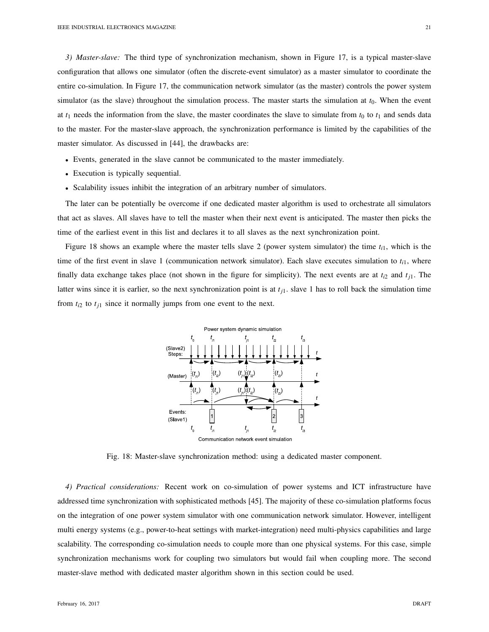*3) Master-slave:* The third type of synchronization mechanism, shown in Figure 17, is a typical master-slave configuration that allows one simulator (often the discrete-event simulator) as a master simulator to coordinate the entire co-simulation. In Figure 17, the communication network simulator (as the master) controls the power system simulator (as the slave) throughout the simulation process. The master starts the simulation at  $t<sub>0</sub>$ . When the event at  $t_1$  needs the information from the slave, the master coordinates the slave to simulate from  $t_0$  to  $t_1$  and sends data to the master. For the master-slave approach, the synchronization performance is limited by the capabilities of the master simulator. As discussed in [44], the drawbacks are:

- Events, generated in the slave cannot be communicated to the master immediately.
- Execution is typically sequential.
- Scalability issues inhibit the integration of an arbitrary number of simulators.

The later can be potentially be overcome if one dedicated master algorithm is used to orchestrate all simulators that act as slaves. All slaves have to tell the master when their next event is anticipated. The master then picks the time of the earliest event in this list and declares it to all slaves as the next synchronization point.

Figure 18 shows an example where the master tells slave 2 (power system simulator) the time  $t_{i,j}$ , which is the time of the first event in slave 1 (communication network simulator). Each slave executes simulation to  $t_{i1}$ , where finally data exchange takes place (not shown in the figure for simplicity). The next events are at  $t_{i2}$  and  $t_{i1}$ . The latter wins since it is earlier, so the next synchronization point is at *tj*1. slave 1 has to roll back the simulation time from  $t_{i2}$  to  $t_{j1}$  since it normally jumps from one event to the next.



Fig. 18: Master-slave synchronization method: using a dedicated master component.

*4) Practical considerations:* Recent work on co-simulation of power systems and ICT infrastructure have addressed time synchronization with sophisticated methods [45]. The majority of these co-simulation platforms focus on the integration of one power system simulator with one communication network simulator. However, intelligent multi energy systems (e.g., power-to-heat settings with market-integration) need multi-physics capabilities and large scalability. The corresponding co-simulation needs to couple more than one physical systems. For this case, simple synchronization mechanisms work for coupling two simulators but would fail when coupling more. The second master-slave method with dedicated master algorithm shown in this section could be used.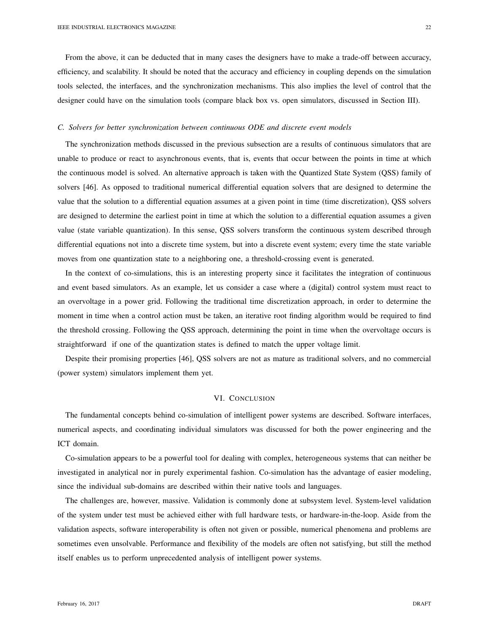From the above, it can be deducted that in many cases the designers have to make a trade-off between accuracy, efficiency, and scalability. It should be noted that the accuracy and efficiency in coupling depends on the simulation tools selected, the interfaces, and the synchronization mechanisms. This also implies the level of control that the designer could have on the simulation tools (compare black box vs. open simulators, discussed in Section III).

## *C. Solvers for better synchronization between continuous ODE and discrete event models*

The synchronization methods discussed in the previous subsection are a results of continuous simulators that are unable to produce or react to asynchronous events, that is, events that occur between the points in time at which the continuous model is solved. An alternative approach is taken with the Quantized State System (QSS) family of solvers [46]. As opposed to traditional numerical differential equation solvers that are designed to determine the value that the solution to a differential equation assumes at a given point in time (time discretization), QSS solvers are designed to determine the earliest point in time at which the solution to a differential equation assumes a given value (state variable quantization). In this sense, QSS solvers transform the continuous system described through differential equations not into a discrete time system, but into a discrete event system; every time the state variable moves from one quantization state to a neighboring one, a threshold-crossing event is generated.

In the context of co-simulations, this is an interesting property since it facilitates the integration of continuous and event based simulators. As an example, let us consider a case where a (digital) control system must react to an overvoltage in a power grid. Following the traditional time discretization approach, in order to determine the moment in time when a control action must be taken, an iterative root finding algorithm would be required to find the threshold crossing. Following the QSS approach, determining the point in time when the overvoltage occurs is straightforward if one of the quantization states is defined to match the upper voltage limit.

Despite their promising properties [46], QSS solvers are not as mature as traditional solvers, and no commercial (power system) simulators implement them yet.

# VI. CONCLUSION

The fundamental concepts behind co-simulation of intelligent power systems are described. Software interfaces, numerical aspects, and coordinating individual simulators was discussed for both the power engineering and the ICT domain.

Co-simulation appears to be a powerful tool for dealing with complex, heterogeneous systems that can neither be investigated in analytical nor in purely experimental fashion. Co-simulation has the advantage of easier modeling, since the individual sub-domains are described within their native tools and languages.

The challenges are, however, massive. Validation is commonly done at subsystem level. System-level validation of the system under test must be achieved either with full hardware tests, or hardware-in-the-loop. Aside from the validation aspects, software interoperability is often not given or possible, numerical phenomena and problems are sometimes even unsolvable. Performance and flexibility of the models are often not satisfying, but still the method itself enables us to perform unprecedented analysis of intelligent power systems.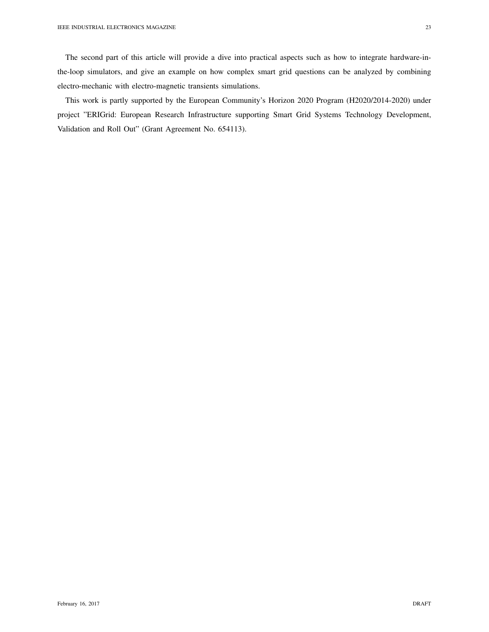The second part of this article will provide a dive into practical aspects such as how to integrate hardware-inthe-loop simulators, and give an example on how complex smart grid questions can be analyzed by combining electro-mechanic with electro-magnetic transients simulations.

This work is partly supported by the European Community's Horizon 2020 Program (H2020/2014-2020) under project "ERIGrid: European Research Infrastructure supporting Smart Grid Systems Technology Development, Validation and Roll Out" (Grant Agreement No. 654113).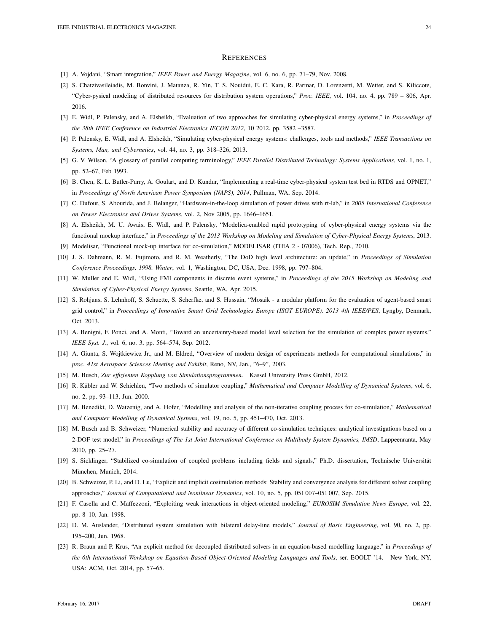#### **REFERENCES**

- [1] A. Vojdani, "Smart integration," *IEEE Power and Energy Magazine*, vol. 6, no. 6, pp. 71–79, Nov. 2008.
- [2] S. Chatzivasileiadis, M. Bonvini, J. Matanza, R. Yin, T. S. Nouidui, E. C. Kara, R. Parmar, D. Lorenzetti, M. Wetter, and S. Kiliccote, "Cyber-pysical modeling of distributed resources for distribution system operations," *Proc. IEEE*, vol. 104, no. 4, pp. 789 – 806, Apr. 2016.
- [3] E. Widl, P. Palensky, and A. Elsheikh, "Evaluation of two approaches for simulating cyber-physical energy systems," in *Proceedings of the 38th IEEE Conference on Industrial Electronics IECON 2012*, 10 2012, pp. 3582 –3587.
- [4] P. Palensky, E. Widl, and A. Elsheikh, "Simulating cyber-physical energy systems: challenges, tools and methods," *IEEE Transactions on Systems, Man, and Cybernetics*, vol. 44, no. 3, pp. 318–326, 2013.
- [5] G. V. Wilson, "A glossary of parallel computing terminology," *IEEE Parallel Distributed Technology: Systems Applications*, vol. 1, no. 1, pp. 52–67, Feb 1993.
- [6] B. Chen, K. L. Butler-Purry, A. Goulart, and D. Kundur, "Implementing a real-time cyber-physical system test bed in RTDS and OPNET," in *Proceedings of North American Power Symposium (NAPS), 2014*, Pullman, WA, Sep. 2014.
- [7] C. Dufour, S. Abourida, and J. Belanger, "Hardware-in-the-loop simulation of power drives with rt-lab," in *2005 International Conference on Power Electronics and Drives Systems*, vol. 2, Nov 2005, pp. 1646–1651.
- [8] A. Elsheikh, M. U. Awais, E. Widl, and P. Palensky, "Modelica-enabled rapid prototyping of cyber-physical energy systems via the functional mockup interface," in *Proceedings of the 2013 Workshop on Modeling and Simulation of Cyber-Physical Energy Systems*, 2013.
- [9] Modelisar, "Functional mock-up interface for co-simulation," MODELISAR (ITEA 2 07006), Tech. Rep., 2010.
- [10] J. S. Dahmann, R. M. Fujimoto, and R. M. Weatherly, "The DoD high level architecture: an update," in *Proceedings of Simulation Conference Proceedings, 1998. Winter*, vol. 1, Washington, DC, USA, Dec. 1998, pp. 797–804.
- [11] W. Muller and E. Widl, "Using FMI components in discrete event systems," in *Proceedings of the 2015 Workshop on Modeling and Simulation of Cyber-Physical Energy Systems*, Seattle, WA, Apr. 2015.
- [12] S. Rohjans, S. Lehnhoff, S. Schuette, S. Scherfke, and S. Hussain, "Mosaik a modular platform for the evaluation of agent-based smart grid control," in *Proceedings of Innovative Smart Grid Technologies Europe (ISGT EUROPE), 2013 4th IEEE/PES*, Lyngby, Denmark, Oct. 2013.
- [13] A. Benigni, F. Ponci, and A. Monti, "Toward an uncertainty-based model level selection for the simulation of complex power systems," *IEEE Syst. J.*, vol. 6, no. 3, pp. 564–574, Sep. 2012.
- [14] A. Giunta, S. Wojtkiewicz Jr., and M. Eldred, "Overview of modern design of experiments methods for computational simulations," in *proc. 41st Aerospace Sciences Meeting and Exhibit*, Reno, NV, Jan., "6–9", 2003.
- [15] M. Busch, *Zur effizienten Kopplung von Simulationsprogrammen*. Kassel University Press GmbH, 2012.
- [16] R. Kübler and W. Schiehlen, "Two methods of simulator coupling," Mathematical and Computer Modelling of Dynamical Systems, vol. 6, no. 2, pp. 93–113, Jun. 2000.
- [17] M. Benedikt, D. Watzenig, and A. Hofer, "Modelling and analysis of the non-iterative coupling process for co-simulation," *Mathematical and Computer Modelling of Dynamical Systems*, vol. 19, no. 5, pp. 451–470, Oct. 2013.
- [18] M. Busch and B. Schweizer, "Numerical stability and accuracy of different co-simulation techniques: analytical investigations based on a 2-DOF test model," in *Proceedings of The 1st Joint International Conference on Multibody System Dynamics, IMSD*, Lappeenranta, May 2010, pp. 25–27.
- [19] S. Sicklinger, "Stabilized co-simulation of coupled problems including fields and signals," Ph.D. dissertation, Technische Universität München, Munich, 2014.
- [20] B. Schweizer, P. Li, and D. Lu, "Explicit and implicit cosimulation methods: Stability and convergence analysis for different solver coupling approaches," *Journal of Computational and Nonlinear Dynamics*, vol. 10, no. 5, pp. 051 007–051 007, Sep. 2015.
- [21] F. Casella and C. Maffezzoni, "Exploiting weak interactions in object-oriented modeling," *EUROSIM Simulation News Europe*, vol. 22, pp. 8–10, Jan. 1998.
- [22] D. M. Auslander, "Distributed system simulation with bilateral delay-line models," *Journal of Basic Engineering*, vol. 90, no. 2, pp. 195–200, Jun. 1968.
- [23] R. Braun and P. Krus, "An explicit method for decoupled distributed solvers in an equation-based modelling language," in *Proceedings of the 6th International Workshop on Equation-Based Object-Oriented Modeling Languages and Tools*, ser. EOOLT '14. New York, NY, USA: ACM, Oct. 2014, pp. 57–65.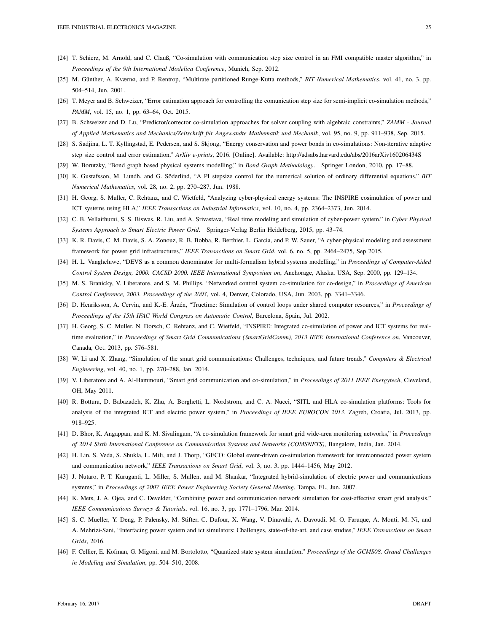- [24] T. Schierz, M. Arnold, and C. Clauß, "Co-simulation with communication step size control in an FMI compatible master algorithm," in *Proceedings of the 9th International Modelica Conference*, Munich, Sep. 2012.
- [25] M. Günther, A. Kværnø, and P. Rentrop, "Multirate partitioned Runge-Kutta methods," *BIT Numerical Mathematics*, vol. 41, no. 3, pp. 504–514, Jun. 2001.
- [26] T. Meyer and B. Schweizer, "Error estimation approach for controlling the comunication step size for semi-implicit co-simulation methods," *PAMM*, vol. 15, no. 1, pp. 63–64, Oct. 2015.
- [27] B. Schweizer and D. Lu, "Predictor/corrector co-simulation approaches for solver coupling with algebraic constraints," *ZAMM Journal of Applied Mathematics and Mechanics/Zeitschrift fur Angewandte Mathematik und Mechanik ¨* , vol. 95, no. 9, pp. 911–938, Sep. 2015.
- [28] S. Sadjina, L. T. Kyllingstad, E. Pedersen, and S. Skjong, "Energy conservation and power bonds in co-simulations: Non-iterative adaptive step size control and error estimation," *ArXiv e-prints*, 2016. [Online]. Available: http://adsabs.harvard.edu/abs/2016arXiv160206434S
- [29] W. Borutzky, "Bond graph based physical systems modelling," in *Bond Graph Methodology*. Springer London, 2010, pp. 17–88.
- [30] K. Gustafsson, M. Lundh, and G. Söderlind, "A PI stepsize control for the numerical solution of ordinary differential equations," *BIT Numerical Mathematics*, vol. 28, no. 2, pp. 270–287, Jun. 1988.
- [31] H. Georg, S. Muller, C. Rehtanz, and C. Wietfeld, "Analyzing cyber-physical energy systems: The INSPIRE cosimulation of power and ICT systems using HLA," *IEEE Transactions on Industrial Informatics*, vol. 10, no. 4, pp. 2364–2373, Jun. 2014.
- [32] C. B. Vellaithurai, S. S. Biswas, R. Liu, and A. Srivastava, "Real time modeling and simulation of cyber-power system," in *Cyber Physical Systems Approach to Smart Electric Power Grid*. Springer-Verlag Berlin Heidelberg, 2015, pp. 43–74.
- [33] K. R. Davis, C. M. Davis, S. A. Zonouz, R. B. Bobba, R. Berthier, L. Garcia, and P. W. Sauer, "A cyber-physical modeling and assessment framework for power grid infrastructures," *IEEE Transactions on Smart Grid*, vol. 6, no. 5, pp. 2464–2475, Sep 2015.
- [34] H. L. Vangheluwe, "DEVS as a common denominator for multi-formalism hybrid systems modelling," in *Proceedings of Computer-Aided Control System Design, 2000. CACSD 2000. IEEE International Symposium on*, Anchorage, Alaska, USA, Sep. 2000, pp. 129–134.
- [35] M. S. Branicky, V. Liberatore, and S. M. Phillips, "Networked control system co-simulation for co-design," in *Proceedings of American Control Conference, 2003. Proceedings of the 2003*, vol. 4, Denver, Colorado, USA, Jun. 2003, pp. 3341–3346.
- [36] D. Henriksson, A. Cervin, and K.-E. Årzén, "Truetime: Simulation of control loops under shared computer resources," in *Proceedings of Proceedings of the 15th IFAC World Congress on Automatic Control*, Barcelona, Spain, Jul. 2002.
- [37] H. Georg, S. C. Muller, N. Dorsch, C. Rehtanz, and C. Wietfeld, "INSPIRE: Integrated co-simulation of power and ICT systems for realtime evaluation," in *Proceedings of Smart Grid Communications (SmartGridComm), 2013 IEEE International Conference on*, Vancouver, Canada, Oct. 2013, pp. 576–581.
- [38] W. Li and X. Zhang, "Simulation of the smart grid communications: Challenges, techniques, and future trends," *Computers & Electrical Engineering*, vol. 40, no. 1, pp. 270–288, Jan. 2014.
- [39] V. Liberatore and A. Al-Hammouri, "Smart grid communication and co-simulation," in *Proceedings of 2011 IEEE Energytech*, Cleveland, OH, May 2011.
- [40] R. Bottura, D. Babazadeh, K. Zhu, A. Borghetti, L. Nordstrom, and C. A. Nucci, "SITL and HLA co-simulation platforms: Tools for analysis of the integrated ICT and electric power system," in *Proceedings of IEEE EUROCON 2013*, Zagreb, Croatia, Jul. 2013, pp. 918–925.
- [41] D. Bhor, K. Angappan, and K. M. Sivalingam, "A co-simulation framework for smart grid wide-area monitoring networks," in *Proceedings of 2014 Sixth International Conference on Communication Systems and Networks (COMSNETS)*, Bangalore, India, Jan. 2014.
- [42] H. Lin, S. Veda, S. Shukla, L. Mili, and J. Thorp, "GECO: Global event-driven co-simulation framework for interconnected power system and communication network," *IEEE Transactions on Smart Grid*, vol. 3, no. 3, pp. 1444–1456, May 2012.
- [43] J. Nutaro, P. T. Kuruganti, L. Miller, S. Mullen, and M. Shankar, "Integrated hybrid-simulation of electric power and communications systems," in *Proceedings of 2007 IEEE Power Engineering Society General Meeting*, Tampa, FL, Jun. 2007.
- [44] K. Mets, J. A. Ojea, and C. Develder, "Combining power and communication network simulation for cost-effective smart grid analysis," *IEEE Communications Surveys & Tutorials*, vol. 16, no. 3, pp. 1771–1796, Mar. 2014.
- [45] S. C. Mueller, Y. Deng, P. Palensky, M. Stifter, C. Dufour, X. Wang, V. Dinavahi, A. Davoudi, M. O. Faruque, A. Monti, M. Ni, and A. Mehrizi-Sani, "Interfacing power system and ict simulators: Challenges, state-of-the-art, and case studies," *IEEE Transactions on Smart Grids*, 2016.
- [46] F. Cellier, E. Kofman, G. Migoni, and M. Bortolotto, "Quantized state system simulation," *Proceedings of the GCMS08, Grand Challenges in Modeling and Simulation*, pp. 504–510, 2008.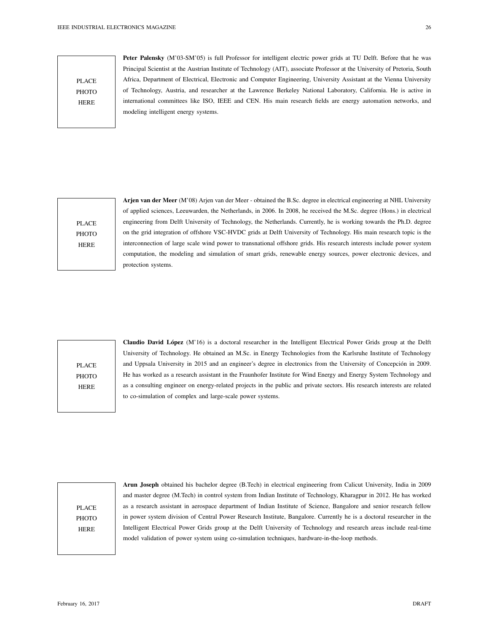PLACE **PHOTO** HERE

Peter Palensky (M'03-SM'05) is full Professor for intelligent electric power grids at TU Delft. Before that he was Principal Scientist at the Austrian Institute of Technology (AIT), associate Professor at the University of Pretoria, South Africa, Department of Electrical, Electronic and Computer Engineering, University Assistant at the Vienna University of Technology, Austria, and researcher at the Lawrence Berkeley National Laboratory, California. He is active in international committees like ISO, IEEE and CEN. His main research fields are energy automation networks, and modeling intelligent energy systems.

PLACE PHOTO HERE

Arjen van der Meer (M'08) Arjen van der Meer - obtained the B.Sc. degree in electrical engineering at NHL University of applied sciences, Leeuwarden, the Netherlands, in 2006. In 2008, he received the M.Sc. degree (Hons.) in electrical engineering from Delft University of Technology, the Netherlands. Currently, he is working towards the Ph.D. degree on the grid integration of offshore VSC-HVDC grids at Delft University of Technology. His main research topic is the interconnection of large scale wind power to transnational offshore grids. His research interests include power system computation, the modeling and simulation of smart grids, renewable energy sources, power electronic devices, and protection systems.

PLACE **PHOTO** HERE

Claudio David López (M'16) is a doctoral researcher in the Intelligent Electrical Power Grids group at the Delft University of Technology. He obtained an M.Sc. in Energy Technologies from the Karlsruhe Institute of Technology and Uppsala University in 2015 and an engineer's degree in electronics from the University of Concepcion in 2009. ´ He has worked as a research assistant in the Fraunhofer Institute for Wind Energy and Energy System Technology and as a consulting engineer on energy-related projects in the public and private sectors. His research interests are related to co-simulation of complex and large-scale power systems.

PLACE PHOTO HERE

Arun Joseph obtained his bachelor degree (B.Tech) in electrical engineering from Calicut University, India in 2009 and master degree (M.Tech) in control system from Indian Institute of Technology, Kharagpur in 2012. He has worked as a research assistant in aerospace department of Indian Institute of Science, Bangalore and senior research fellow in power system division of Central Power Research Institute, Bangalore. Currently he is a doctoral researcher in the Intelligent Electrical Power Grids group at the Delft University of Technology and research areas include real-time model validation of power system using co-simulation techniques, hardware-in-the-loop methods.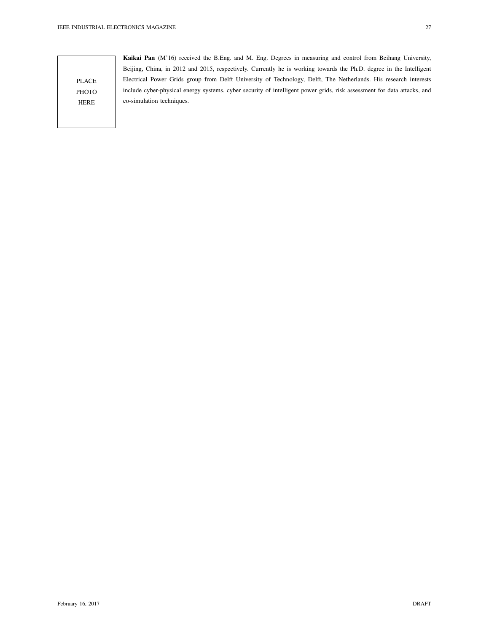Kaikai Pan (M'16) received the B.Eng. and M. Eng. Degrees in measuring and control from Beihang University, Beijing, China, in 2012 and 2015, respectively. Currently he is working towards the Ph.D. degree in the Intelligent Electrical Power Grids group from Delft University of Technology, Delft, The Netherlands. His research interests include cyber-physical energy systems, cyber security of intelligent power grids, risk assessment for data attacks, and co-simulation techniques.